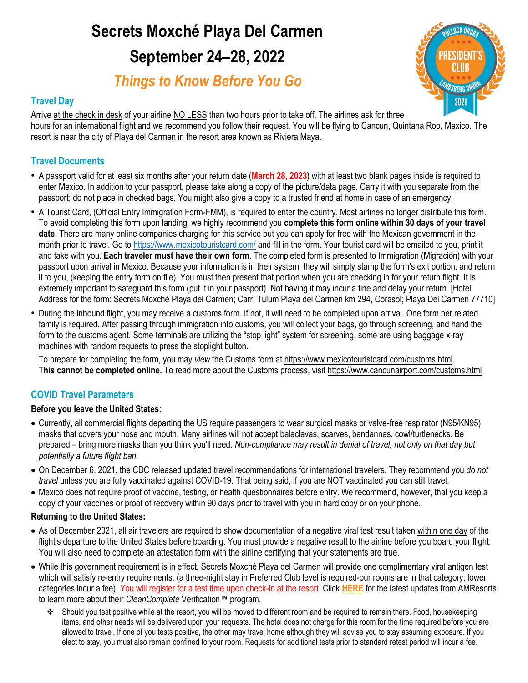# **Secrets Moxché Playa Del Carmen September 24–28, 2022**

*Things to Know Before You Go*



### **Travel Day**

Arrive at the check in desk of your airline NO LESS than two hours prior to take off. The airlines ask for three hours for an international flight and we recommend you follow their request. You will be flying to Cancun, Quintana Roo, Mexico. The resort is near the city of Playa del Carmen in the resort area known as Riviera Maya.

### **Travel Documents**

- A passport valid for at least six months after your return date (**March 28, 2023**) with at least two blank pages inside is required to enter Mexico. In addition to your passport, please take along a copy of the picture/data page. Carry it with you separate from the passport; do not place in checked bags. You might also give a copy to a trusted friend at home in case of an emergency.
- A Tourist Card, (Official Entry Immigration Form-FMM), is required to enter the country. Most airlines no longer distribute this form. To avoid completing this form upon landing, we highly recommend you **complete this form online within 30 days of your travel date**. There are many online companies charging for this service but you can apply for free with the Mexican government in the month prior to travel. Go to<https://www.mexicotouristcard.com/> and fill in the form. Your tourist card will be emailed to you, print it and take with you. **Each traveler must have their own form**. The completed form is presented to Immigration (Migración) with your passport upon arrival in Mexico. Because your information is in their system, they will simply stamp the form's exit portion, and return it to you, (keeping the entry form on file). You must then present that portion when you are checking in for your return flight. It is extremely important to safeguard this form (put it in your passport). Not having it may incur a fine and delay your return. [Hotel Address for the form: Secrets Moxché Playa del Carmen; Carr. Tulum Playa del Carmen km 294, Corasol; Playa Del Carmen 77710]
- During the inbound flight, you may receive a customs form. If not, it will need to be completed upon arrival. One form per related family is required. After passing through immigration into customs, you will collect your bags, go through screening, and hand the form to the customs agent. Some terminals are utilizing the "stop light" system for screening, some are using baggage x-ray machines with random requests to press the stoplight button.

To prepare for completing the form, you may *view* the Customs form at [https://www.mexicotouristcard.com/customs.html.](https://www.mexicotouristcard.com/customs.html) **This cannot be completed online.** To read more about the Customs process, visit<https://www.cancunairport.com/customs.html>

### **COVID Travel Parameters**

### **Before you leave the United States:**

- Currently, all commercial flights departing the US require passengers to wear surgical masks or valve-free respirator (N95/KN95) masks that covers your nose and mouth. Many airlines will not accept balaclavas, scarves, bandannas, cowl/turtlenecks. Be prepared – bring more masks than you think you'll need. *Non-compliance may result in denial of travel, not only on that day but potentially a future flight ban.*
- On December 6, 2021, the CDC released updated travel recommendations for international travelers. They recommend you *do not travel* unless you are fully vaccinated against COVID-19. That being said, if you are NOT vaccinated you can still travel.
- Mexico does not require proof of vaccine, testing, or health questionnaires before entry. We recommend, however, that you keep a copy of your vaccines or proof of recovery within 90 days prior to travel with you in hard copy or on your phone.

### **Returning to the United States:**

- As of December 2021, all air travelers are required to show documentation of a negative viral test result taken within one day of the flight's departure to the United States before boarding. You must provide a negative result to the airline before you board your flight. You will also need to complete an attestation form with the airline certifying that your statements are true.
- While this government requirement is in effect, Secrets Moxché Playa del Carmen will provide one complimentary viral antigen test which will satisfy re-entry requirements, (a three-night stay in Preferred Club level is required-our rooms are in that category; lower categories incur a fee). You will register for a test time upon check-in at the resort. Click **[HERE](https://www.amrcollection.com/en/about-us/clean-complete-verification/mexico-caribbean/)** for the latest updates from AMResorts to learn more about their *CleanComplete* Verification™ program.
	- Should you test positive while at the resort, you will be moved to different room and be required to remain there. Food, housekeeping items, and other needs will be delivered upon your requests. The hotel does not charge for this room for the time required before you are allowed to travel. If one of you tests positive, the other may travel home although they will advise you to stay assuming exposure. If you elect to stay, you must also remain confined to your room. Requests for additional tests prior to standard retest period will incur a fee.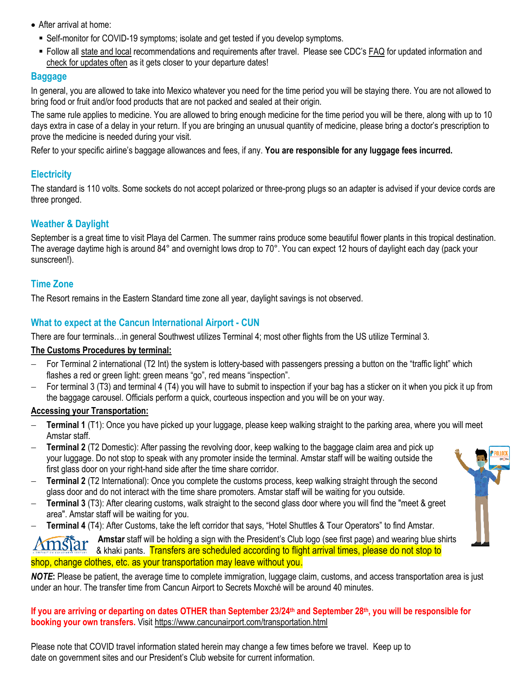- After arrival at home:
	- Self-monitor for COVID-19 symptoms; isolate and get tested if you develop symptoms.
- Follow all [state and local](https://www.cdc.gov/coronavirus/2019-ncov/travelers/travel-planner/index.html) recommendations and requirements after travel. Please see CDC's [FAQ](https://travel.state.gov/content/travel/en/international-travel/before-you-go/covid-19_testing_required_US_Entry.html) for updated information and check for updates often as it gets closer to your departure dates!

### **Baggage**

In general, you are allowed to take into Mexico whatever you need for the time period you will be staying there. You are not allowed to bring food or fruit and/or food products that are not packed and sealed at their origin.

The same rule applies to medicine. You are allowed to bring enough medicine for the time period you will be there, along with up to 10 days extra in case of a delay in your return. If you are bringing an unusual quantity of medicine, please bring a doctor's prescription to prove the medicine is needed during your visit.

Refer to your specific airline's baggage allowances and fees, if any. **You are responsible for any luggage fees incurred.**

### **Electricity**

The standard is 110 volts. Some sockets do not accept polarized or three-prong plugs so an adapter is advised if your device cords are three pronged.

### **Weather & Daylight**

September is a great time to visit Playa del Carmen. The summer rains produce some beautiful flower plants in this tropical destination. The average daytime high is around 84° and overnight lows drop to 70°. You can expect 12 hours of daylight each day (pack your sunscreen!).

### **Time Zone**

The Resort remains in the Eastern Standard time zone all year, daylight savings is not observed.

### **What to expect at the Cancun International Airport - CUN**

There are four terminals…in general Southwest utilizes Terminal 4; most other flights from the US utilize Terminal 3.

### **The Customs Procedures by terminal:**

- For Terminal 2 international (T2 Int) the system is lottery-based with passengers pressing a button on the "traffic light" which flashes a red or green light: green means "go", red means "inspection".
- For terminal 3 (T3) and terminal 4 (T4) you will have to submit to inspection if your bag has a sticker on it when you pick it up from the baggage carousel. Officials perform a quick, courteous inspection and you will be on your way.

### **Accessing your Transportation:**

- **Terminal 1** (T1): Once you have picked up your luggage, please keep walking straight to the parking area, where you will meet Amstar staff.
- **Terminal 2** (T2 Domestic): After passing the revolving door, keep walking to the baggage claim area and pick up your luggage. Do not stop to speak with any promoter inside the terminal. Amstar staff will be waiting outside the first glass door on your right-hand side after the time share corridor.
- **Terminal 2** (T2 International): Once you complete the customs process, keep walking straight through the second glass door and do not interact with the time share promoters. Amstar staff will be waiting for you outside.
- **Terminal 3** (T3): After clearing customs, walk straight to the second glass door where you will find the "meet & greet area". Amstar staff will be waiting for you.
- **Terminal 4** (T4): After Customs, take the left corridor that says, "Hotel Shuttles & Tour Operators" to find Amstar.

**Amstar** staff will be holding a sign with the President's Club logo (see first page) and wearing blue shirts star & khaki pants. Transfers are scheduled according to flight arrival times, please do not stop to shop, change clothes, etc. as your transportation may leave without you.

*NOTE***:** Please be patient, the average time to complete immigration, luggage claim, customs, and access transportation area is just under an hour. The transfer time from Cancun Airport to Secrets Moxché will be around 40 minutes.

**If you are arriving or departing on dates OTHER than September 23/24th and September 28th , you will be responsible for booking your own transfers.** Visit<https://www.cancunairport.com/transportation.html>

Please note that COVID travel information stated herein may change a few times before we travel. Keep up to date on government sites and our President's Club website for current information.

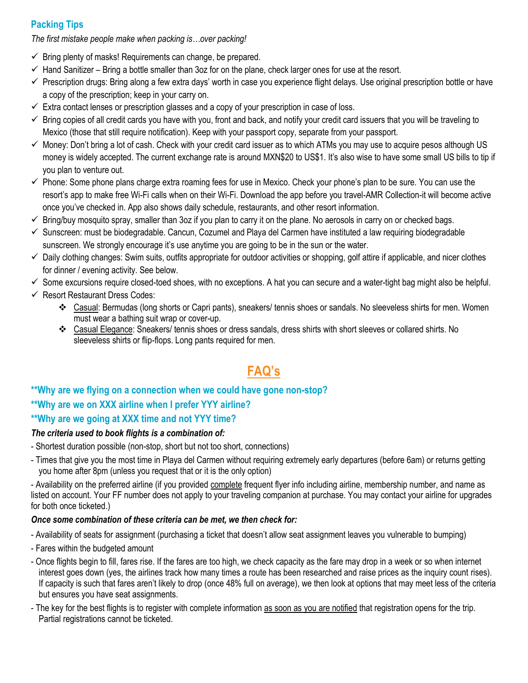### **Packing Tips**

*The first mistake people make when packing is…over packing!* 

- $\checkmark$  Bring plenty of masks! Requirements can change, be prepared.
- $\checkmark$  Hand Sanitizer Bring a bottle smaller than 3oz for on the plane, check larger ones for use at the resort.
- $\checkmark$  Prescription drugs: Bring along a few extra days' worth in case you experience flight delays. Use original prescription bottle or have a copy of the prescription; keep in your carry on.
- $\checkmark$  Extra contact lenses or prescription glasses and a copy of your prescription in case of loss.
- $\checkmark$  Bring copies of all credit cards you have with you, front and back, and notify your credit card issuers that you will be traveling to Mexico (those that still require notification). Keep with your passport copy, separate from your passport.
- $\checkmark$  Money: Don't bring a lot of cash. Check with your credit card issuer as to which ATMs you may use to acquire pesos although US money is widely accepted. The current exchange rate is around MXN\$20 to US\$1. It's also wise to have some small US bills to tip if you plan to venture out.
- $\checkmark$  Phone: Some phone plans charge extra roaming fees for use in Mexico. Check your phone's plan to be sure. You can use the resort's app to make free Wi-Fi calls when on their Wi-Fi. Download the app before you travel-AMR Collection-it will become active once you've checked in. App also shows daily schedule, restaurants, and other resort information.
- $\checkmark$  Bring/buy mosquito spray, smaller than 3oz if you plan to carry it on the plane. No aerosols in carry on or checked bags.
- $\checkmark$  Sunscreen: must be biodegradable. Cancun, Cozumel and Playa del Carmen have instituted a law requiring biodegradable sunscreen. We strongly encourage it's use anytime you are going to be in the sun or the water.
- $\checkmark$  Daily clothing changes: Swim suits, outfits appropriate for outdoor activities or shopping, golf attire if applicable, and nicer clothes for dinner / evening activity. See below.
- $\checkmark$  Some excursions require closed-toed shoes, with no exceptions. A hat you can secure and a water-tight bag might also be helpful.
- $\checkmark$  Resort Restaurant Dress Codes:
	- Casual: Bermudas (long shorts or Capri pants), sneakers/ tennis shoes or sandals. No sleeveless shirts for men. Women must wear a bathing suit wrap or cover-up.
	- Casual Elegance: Sneakers/ tennis shoes or dress sandals, dress shirts with short sleeves or collared shirts. No sleeveless shirts or flip-flops. Long pants required for men.

# **FAQ's**

## **\*\*Why are we flying on a connection when we could have gone non-stop? \*\*Why are we on XXX airline when I prefer YYY airline?**

### **\*\*Why are we going at XXX time and not YYY time?**

### *The criteria used to book flights is a combination of:*

- Shortest duration possible (non-stop, short but not too short, connections)
- Times that give you the most time in Playa del Carmen without requiring extremely early departures (before 6am) or returns getting you home after 8pm (unless you request that or it is the only option)

- Availability on the preferred airline (if you provided complete frequent flyer info including airline, membership number, and name as listed on account. Your FF number does not apply to your traveling companion at purchase. You may contact your airline for upgrades for both once ticketed.)

### *Once some combination of these criteria can be met, we then check for:*

- Availability of seats for assignment (purchasing a ticket that doesn't allow seat assignment leaves you vulnerable to bumping)

- Fares within the budgeted amount
- Once flights begin to fill, fares rise. If the fares are too high, we check capacity as the fare may drop in a week or so when internet interest goes down (yes, the airlines track how many times a route has been researched and raise prices as the inquiry count rises). If capacity is such that fares aren't likely to drop (once 48% full on average), we then look at options that may meet less of the criteria but ensures you have seat assignments.
- The key for the best flights is to register with complete information as soon as you are notified that registration opens for the trip. Partial registrations cannot be ticketed.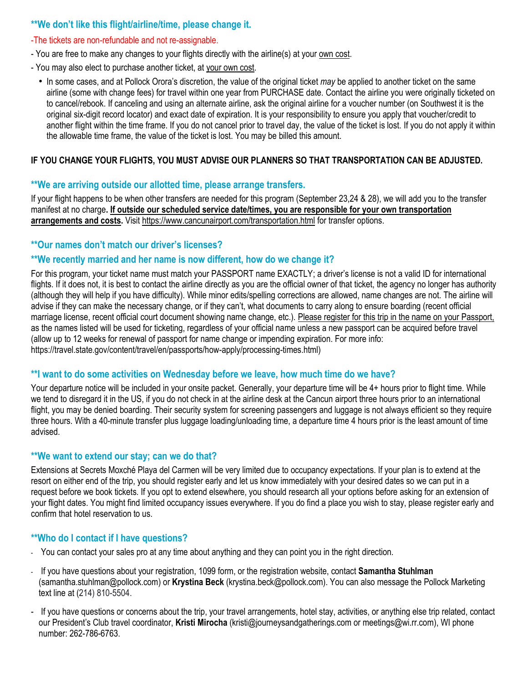### **\*\*We don't like this flight/airline/time, please change it.**

#### -The tickets are non-refundable and not re-assignable.

- You are free to make any changes to your flights directly with the airline(s) at your own cost.
- You may also elect to purchase another ticket, at your own cost.
	- In some cases, and at Pollock Orora's discretion, the value of the original ticket *may* be applied to another ticket on the same airline (some with change fees) for travel within one year from PURCHASE date. Contact the airline you were originally ticketed on to cancel/rebook. If canceling and using an alternate airline, ask the original airline for a voucher number (on Southwest it is the original six-digit record locator) and exact date of expiration. It is your responsibility to ensure you apply that voucher/credit to another flight within the time frame. If you do not cancel prior to travel day, the value of the ticket is lost. If you do not apply it within the allowable time frame, the value of the ticket is lost. You may be billed this amount.

### **IF YOU CHANGE YOUR FLIGHTS, YOU MUST ADVISE OUR PLANNERS SO THAT TRANSPORTATION CAN BE ADJUSTED.**

### **\*\*We are arriving outside our allotted time, please arrange transfers.**

If your flight happens to be when other transfers are needed for this program (September 23,24 & 28), we will add you to the transfer manifest at no charge**. If outside our scheduled service date/times, you are responsible for your own transportation arrangements and costs.** Visit<https://www.cancunairport.com/transportation.html> for transfer options.

### **\*\*Our names don't match our driver's licenses?**

### **\*\*We recently married and her name is now different, how do we change it?**

For this program, your ticket name must match your PASSPORT name EXACTLY; a driver's license is not a valid ID for international flights. If it does not, it is best to contact the airline directly as you are the official owner of that ticket, the agency no longer has authority (although they will help if you have difficulty). While minor edits/spelling corrections are allowed, name changes are not. The airline will advise if they can make the necessary change, or if they can't, what documents to carry along to ensure boarding (recent official marriage license, recent official court document showing name change, etc.). Please register for this trip in the name on your Passport, as the names listed will be used for ticketing, regardless of your official name unless a new passport can be acquired before travel (allow up to 12 weeks for renewal of passport for name change or impending expiration. For more info: https://travel.state.gov/content/travel/en/passports/how-apply/processing-times.html)

### **\*\*I want to do some activities on Wednesday before we leave, how much time do we have?**

Your departure notice will be included in your onsite packet. Generally, your departure time will be 4+ hours prior to flight time. While we tend to disregard it in the US, if you do not check in at the airline desk at the Cancun airport three hours prior to an international flight, you may be denied boarding. Their security system for screening passengers and luggage is not always efficient so they require three hours. With a 40-minute transfer plus luggage loading/unloading time, a departure time 4 hours prior is the least amount of time advised.

### **\*\*We want to extend our stay; can we do that?**

Extensions at Secrets Moxché Playa del Carmen will be very limited due to occupancy expectations. If your plan is to extend at the resort on either end of the trip, you should register early and let us know immediately with your desired dates so we can put in a request before we book tickets. If you opt to extend elsewhere, you should research all your options before asking for an extension of your flight dates. You might find limited occupancy issues everywhere. If you do find a place you wish to stay, please register early and confirm that hotel reservation to us.

### **\*\*Who do I contact if I have questions?**

- You can contact your sales pro at any time about anything and they can point you in the right direction.
- If you have questions about your registration, 1099 form, or the registration website, contact **Samantha Stuhlman** (samantha.stuhlman@pollock.com) or **Krystina Beck** (krystina.beck@pollock.com). You can also message the Pollock Marketing text line at (214) 810-5504.
- If you have questions or concerns about the trip, your travel arrangements, hotel stay, activities, or anything else trip related, contact our President's Club travel coordinator, **Kristi Mirocha** (kristi@journeysandgatherings.com or meetings@wi.rr.com), WI phone number: 262-786-6763.